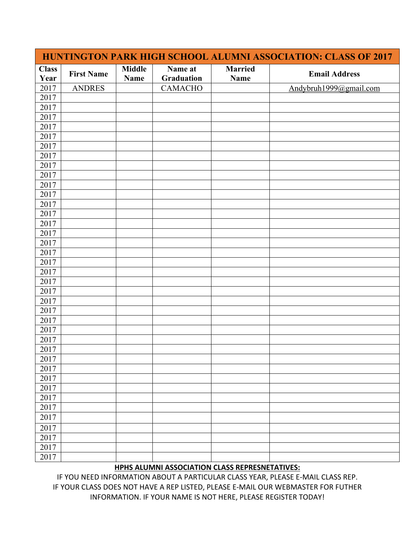| HUNTINGTON PARK HIGH SCHOOL ALUMNI ASSOCIATION: CLASS OF 2017 |                   |                              |                       |                        |                        |  |  |
|---------------------------------------------------------------|-------------------|------------------------------|-----------------------|------------------------|------------------------|--|--|
| <b>Class</b><br>Year                                          | <b>First Name</b> | <b>Middle</b><br><b>Name</b> | Name at<br>Graduation | <b>Married</b><br>Name | <b>Email Address</b>   |  |  |
| 2017                                                          | <b>ANDRES</b>     |                              | <b>CAMACHO</b>        |                        | Andybruh1999@gmail.com |  |  |
| 2017                                                          |                   |                              |                       |                        |                        |  |  |
| 2017                                                          |                   |                              |                       |                        |                        |  |  |
| 2017                                                          |                   |                              |                       |                        |                        |  |  |
| 2017                                                          |                   |                              |                       |                        |                        |  |  |
| 2017                                                          |                   |                              |                       |                        |                        |  |  |
| 2017                                                          |                   |                              |                       |                        |                        |  |  |
| 2017                                                          |                   |                              |                       |                        |                        |  |  |
| 2017                                                          |                   |                              |                       |                        |                        |  |  |
| 2017                                                          |                   |                              |                       |                        |                        |  |  |
| 2017                                                          |                   |                              |                       |                        |                        |  |  |
| 2017                                                          |                   |                              |                       |                        |                        |  |  |
| 2017                                                          |                   |                              |                       |                        |                        |  |  |
| 2017                                                          |                   |                              |                       |                        |                        |  |  |
| 2017                                                          |                   |                              |                       |                        |                        |  |  |
| 2017                                                          |                   |                              |                       |                        |                        |  |  |
| 2017                                                          |                   |                              |                       |                        |                        |  |  |
| 2017                                                          |                   |                              |                       |                        |                        |  |  |
| 2017                                                          |                   |                              |                       |                        |                        |  |  |
| 2017                                                          |                   |                              |                       |                        |                        |  |  |
| 2017                                                          |                   |                              |                       |                        |                        |  |  |
| 2017                                                          |                   |                              |                       |                        |                        |  |  |
| 2017                                                          |                   |                              |                       |                        |                        |  |  |
| 2017                                                          |                   |                              |                       |                        |                        |  |  |
| 2017                                                          |                   |                              |                       |                        |                        |  |  |
| 2017                                                          |                   |                              |                       |                        |                        |  |  |
| 2017                                                          |                   |                              |                       |                        |                        |  |  |
| 2017                                                          |                   |                              |                       |                        |                        |  |  |
| 2017                                                          |                   |                              |                       |                        |                        |  |  |
| 2017                                                          |                   |                              |                       |                        |                        |  |  |
| 2017                                                          |                   |                              |                       |                        |                        |  |  |
| 2017                                                          |                   |                              |                       |                        |                        |  |  |
| 2017                                                          |                   |                              |                       |                        |                        |  |  |
| 2017                                                          |                   |                              |                       |                        |                        |  |  |
| 2017                                                          |                   |                              |                       |                        |                        |  |  |
| 2017                                                          |                   |                              |                       |                        |                        |  |  |
| 2017                                                          |                   |                              |                       |                        |                        |  |  |
| 2017                                                          |                   |                              |                       |                        |                        |  |  |
| 2017                                                          |                   |                              |                       |                        |                        |  |  |

## **HPHS ALUMNI ASSOCIATION CLASS REPRESNETATIVES:**

IF YOU NEED INFORMATION ABOUT A PARTICULAR CLASS YEAR, PLEASE E-MAIL CLASS REP. IF YOUR CLASS DOES NOT HAVE A REP LISTED, PLEASE E-MAIL OUR WEBMASTER FOR FUTHER INFORMATION. IF YOUR NAME IS NOT HERE, PLEASE REGISTER TODAY!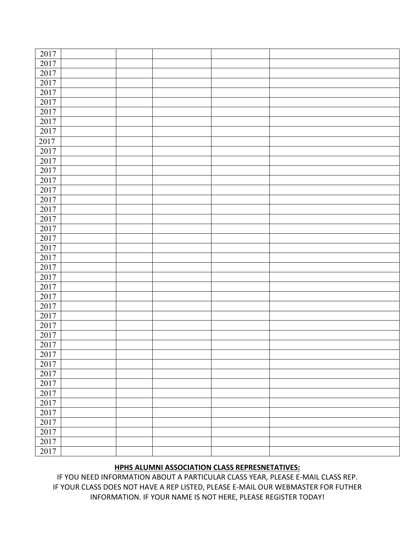| 2017             |  |  |  |
|------------------|--|--|--|
| 2017             |  |  |  |
| 2017             |  |  |  |
| 2017             |  |  |  |
|                  |  |  |  |
| 2017             |  |  |  |
| 2017             |  |  |  |
| 2017             |  |  |  |
| 2017             |  |  |  |
| 2017             |  |  |  |
| 2017             |  |  |  |
| 2017             |  |  |  |
| 2017             |  |  |  |
| 2017             |  |  |  |
| 2017             |  |  |  |
| 2017             |  |  |  |
| 2017             |  |  |  |
| 2017             |  |  |  |
| 2017             |  |  |  |
| 2017             |  |  |  |
| $\frac{1}{2017}$ |  |  |  |
| 2017             |  |  |  |
| 2017             |  |  |  |
| 2017             |  |  |  |
| 2017             |  |  |  |
| 2017             |  |  |  |
| 2017             |  |  |  |
| 2017             |  |  |  |
| 2017             |  |  |  |
|                  |  |  |  |
| 2017             |  |  |  |
| $2017\,$         |  |  |  |
| 2017             |  |  |  |
| 2017             |  |  |  |
| 2017             |  |  |  |
| 2017             |  |  |  |
| 2017             |  |  |  |
| 2017             |  |  |  |
| 2017             |  |  |  |
| 2017             |  |  |  |
| 2017             |  |  |  |
| 2017             |  |  |  |
| 2017             |  |  |  |
| 2017             |  |  |  |
|                  |  |  |  |

## **HPHS ALUMNI ASSOCIATION CLASS REPRESNETATIVES:**

IF YOU NEED INFORMATION ABOUT A PARTICULAR CLASS YEAR, PLEASE E-MAIL CLASS REP. IF YOUR CLASS DOES NOT HAVE A REP LISTED, PLEASE E-MAIL OUR WEBMASTER FOR FUTHER INFORMATION. IF YOUR NAME IS NOT HERE, PLEASE REGISTER TODAY!